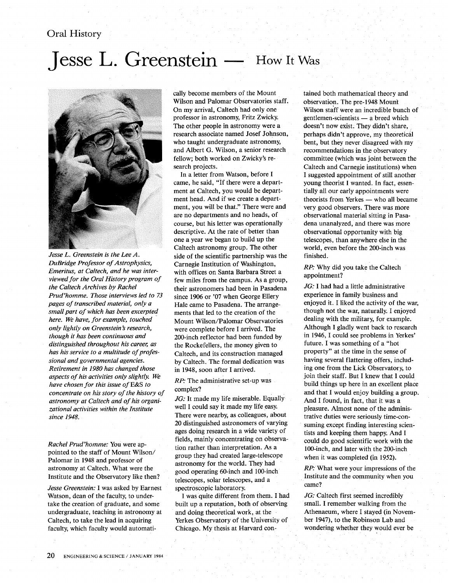## Oral History

## **Jesse L. Greenstein — How It Was**



*Jesse L. Greenstein is the Lee A. DuBridge Professor of Astrophysics, Emeritus, at Caltech, and he was interviewed for the Oral History program of the Caltech Archives by Rachel Prud'homme. Those interviews led to 73 pages of transcribed material, only a small part of which has been excerpted here. We have, for example, touched only lightly on Greenstein s research, though it has been continuous and distinguished throughout his career, as has his service to a multitude of professional and governmental agencies. Retirement in 1980 has changed those aspects of his activities only slightly. We have chosen for this issue ofE&S to concentrate on his story of the history of astronomy at Caltech and of his organizational activities within the Institute since 1948.* 

*Rachel Prud'homme:* You were appointed to the staff of Mount Wilson/ Palomar in 1948 and professor of astronomy at Caltech. What were the Institute and the Observatory like then?

*Jesse Greenstein:* I was asked by Earnest Watson, dean of the faculty, to undertake the creation of graduate, and some undergraduate, teaching in astronomy at Caltech, to take the lead in acquiring faculty, which faculty would automati-

cally become members of the Mount Wilson and Palomar Observatories staff. On my arrival, Caltech had only one professor in astronomy, Fritz Zwicky. The other people in astronomy were a research associate named Josef Johnson, who taught undergraduate astronomy, and Albert G. Wilson, a senior research fellow; both worked on Zwicky's research projects.

In a letter from Watson, before I came, he said, "If there were a department at Caltech, you would be department head. And if we create a department, you will be that." There were and are no departments and no heads, of course, but his letter was operationally descriptive. At the rate of better than one a year we began to build up the Caltech astronomy group. The other side of the scientific partnership was the Carnegie Institution of Washington, with offices on Santa Barbara Street a few miles from the campus. As a group, their astronomers had been in Pasadena since 1906 or '07 when George Ellery Hale came to Pasadena. The arrangements that led to the creation of the Mount Wilson/Palomar Observatories were complete before I arrived. The 200-inch reflector had been funded by the Rockefellers, the money given to Caltech, and its construction managed by Caltech. The formal dedication was in 1948, soon after I arrived.

*RP:* The administrative set-up was complex?

*JG*: It made my life miserable. Equally well I could say it made my life easy. There were nearby, as colleagues, about 20 distinguished astronomers of varying ages doing research in a wide variety of fields, mainly concentrating on observation rather than interpretation. As a group they had created large-telescope astronomy for the world. They had good operating 60-inch and l00-inch telescopes, solar telescopes, and a spectroscopic laboratory.

I was quite different from them. I had built up a reputation, both of observing and doing theoretical work, at the Yerkes Observatory of the University of Chicago. My thesis at Harvard con-

tained both mathematical theory and observation. The pre-1948 Mount Wilson staff were an incredible bunch of gentlemen-scientists - a breed which doesn't now exist. They didn't share, perhaps didn't approve, my theoretical bent, but they never disagreed with my recommendations in the observatory committee (which was joint between the Caltech and Carnegie institutions) when I suggested appointment of still another young theorist I wanted. In fact, essentially all our early appointments were theorists from Yerkes - who all became very good observers. There was more observational material sitting in Pasadena unanalyzed, and there was more observational opportunity with big telescopes, than anywhere else in the world, even before the 200-inch was finished.

*RP:* Why did you take the Caltech appointment?

*JG:* I had had a little administrative experience in family business and enjoyed it. I liked the activity of the war, though not the war, naturally. I enjoyed dealing with the military, for example. Although I gladly went back to research in 1946, I could see problems in Yerkes' future. I was something of a "hot property" at the time in the sense of having several flattering offers, including one from the Lick Observatory, to join their staff. But I knew that I could build things up here in an excellent place and that I would enjoy building a group. And I found, in fact, that it was a pleasure. Almost none of the administrative duties were seriously time-consuming except finding interesting scientists and keeping them happy. And I could do good scientific work with the 100-inch, and later with the 200-inch when it was completed (in 1952).

*RP:* What were your impressions of the Institute and the community when you came?

*JG:* Caltech first seemed incredibly small. I remember walking from the Athenaeum, where I stayed (in November 1947), to the Robinson Lab and wondering whether they would ever be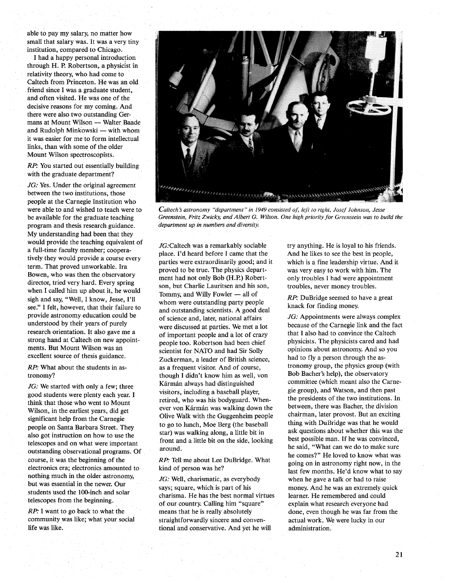able to pay my salary, no matter how small that salary was. It was a very tiny institution, compared to Chicago.

I had a happy personal introduction through H. P. Robertson, a physicist in relativity theory, who had come to Caltech from PrInceton. He was an old friend since I was a graduate student, and often visited. He was one of the decisive reasons for my coming. And there were also two outstanding Germans at Mount Wilson - Walter Baade and Rudolph Minkowski - with whom it was easier for me to form intellectual links, than with some of the older Mount Wilson spectroscopists.

RP: You started out essentially building with the graduate department?

JG: Yes. Under the original agreement between the two institutions, those people at the Carnegie Institution who were able to and wished to teach were to be available for the graduate teaching program and thesis research guidance. My understanding had been that they would provide the teaching equivalent of a full-time faculty member; cooperatively they would provide a course every term. That proved unworkable. Ira Bowen, who was then the observatory director, tried very hard. Every spring when I called him up about it, he would sigh and say, "Well, I know, Jesse, I'll see." I felt, however, that their failure to provide astronomy education could be understood by their years of purely research orientation. It also gave me a strong hand at Caltech on new appointments. But Mount Wilson was an excellent source of thesis guidance.

RP: What about the students in astronomy?

JG: We started with only a few; three good students were plenty each year. I think that those who went to Mount Wilson, in the earliest years, did get significant help from the Carnegie people on Santa Barbara Street. They also got instruction on how to use the telescopes and on what were important outstanding observational programs. Of course, it was the beginning of the electronics era; electronics amounted to nothing much in the older astronomy, but was essential in the newer. Our students used the lOO-inch and solar telescopes from the beginning.

RP: I want to go back to what the community was like; what your social life was like.



*Caitech's astronomy "department" in* 1949 *consisted of, leji to right, Josef Johnson, Jesse Greenstein, Fritz Zwicky, and Albert* G. *Wilson. One high priority for Greenstein was to build the department up in numbers and diversity.* 

JG:Caltech was a remarkably sociable place. I'd heard before I came that the parties were extraordinarily good; and it proved to be true. The physics department had not only Bob (H.P.) Robertson, but Charlie Lauritsen and his son, Tommy, and Willy Fowler  $-$  all of whom were outstanding party people and outstanding scientists. A good deal of science and, later, national affairs were discussed at parties. We met a lot of important people and a lot of crazy people too. Robertson had been chief scientist for NATO and had Sir Solly Zuckerman, a leader of British science, as a frequent visitor. And of course, though I didn't know him as well, von Kármán always had distinguished visitors, including a baseball player, retired, who was his bodyguard. Whenever von Kármán was walking down the Olive Walk with the Guggenheim people to go to lunch, Moe Berg (the baseball star) was walking along, alittle bit in front and a little bit on the side, looking around.

RP: Tell me about Lee DuBridge. What kind of person was he?

JG: Well, charismatic, as everybody says; square, which is part of his charisma. He has the best normal virtues of our country. Calling him "square" means that he is really absolutely straightforwardly sincere and conventional and conservative. And yet he will

try anything. He is loyal to his friends. And he likes to see the best in people, which is a fine leadership virtue. And it was very easy to work with him. The only troubles I had were appointment troubles, never money troubles.

RP: DuBridge seemed to have a great knack for finding money.

JG: Appointments were always complex because of the Carnegie link and the fact that I also had to convince the Caltech physicists. The physicists cared and had opinions about astronomy. And so you had to fly a person through the astronomy group, the physics group (with Bob Bacher's help), the observatory committee (which meant also the Carnegie group), and Watson, and then past the presidents of the two institutions. In between, there was Bacher, the division chairman, later provost. But an exciting thing with DuBridge was that he would ask questions about whether this was the best possible man. If he was convinced, he said, "What can we do to make sure he comes?" He loved to know what was going on in astronomy right now, in the last few months. He'd know what to say when he gave a talk or had to raise money. And he was an extremely quick learner. He remembered and could explain what research everyone had done, even though he was far from the actual work. We were lucky in our administration.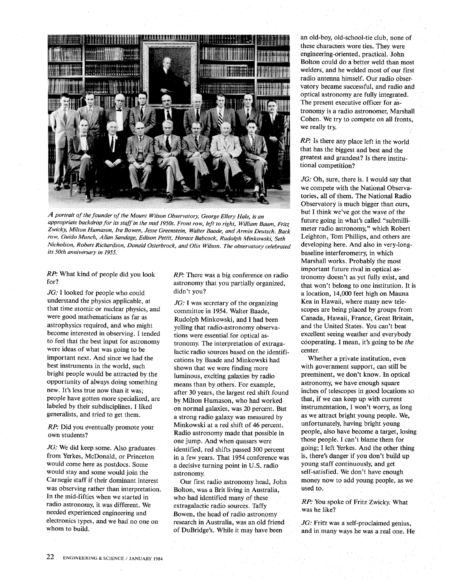

A *portrait of the founder of the Mount Wilson Observatory, George Ellery Hale,* is *an appropriate backdrop for its staff in the mid 1950s. Front row, left to right, William Baum, Fritz Zwicky, Milton Humason, Ira Bowen, Jesse Greenstein, Walter Baade, and Armin Deutsch. Back row, Guido Munch, Allan Sandage, Edison Pettit, Horace Babcock, Rudolph Minkowski, Seth Nicholson, Robert Richardson, Donald Osterbrock, and Olin Wilson. The observatory celebrated its 50th anniversary in 1955.* 

*RP:* What kind of people did you look for?

JG: I looked for people who could understand the physics applicable, at that time atomic or nuclear physics, and were good mathematicians as far as astrophysics required, and who might become interested in observing. I tended to feel that the best input for astronomy were ideas of what was going to be important next. And since we had the best instruments in the world, such bright people would be attracted by the opportunity of always doing something new. It's less true now than it was; people have gotten more specialized, are labeled by their subdisciplines. I liked generalists, and tried to get them.

*RP:* Did you eventually promote your own students?

JG: We did keep some. Also graduates from Yerkes, McDonald, or Princeton would come here as postdocs. Some would stay and some would join the Carnegie staff if their dominant interest was observing rather than interpretation. In the mid-fifties when we started in radio astronomy, it was different. We needed experienced engineering and electronics types, and we had no one on whom to build.

*RP:* There was a big conference on radio astronomy that you partially organized, didn't you?

JG: I was secretary of the organizing committee in 1954. Walter Baade, Rudolph Minkowski, and I had been yelling that radio-astronomy observations were essential for optical astronomy. The interpretation of extragalactic radio sources based on the identifications by Baade and Minkowski had shown that we were finding more luminous, exciting galaxies by radio means than by others. For example, after 30 years, the largest red shift found by Milton Humason, who had worked on normal galaxies, was 20 percent. But a strong radio galaxy was measured by Minkowski at a red shift of 46 percent. Radio astronomy made that possible in one jump. And when quasars were identified, red shifts passed 300 percent in a few years. That 1954 conference was a decisive turning point in U.S. radio astronomy.

Our first radio astronomy head, John Bolton, was a Brit living in Australia, who had identified many of these extragalactic radio sources. Taffy Bowen, the head of radio astronomy research in Australia, was an old friend of DuBridge's. While it may have been

an old-boy, old-school-tie club, none of these characters wore ties. They were engineering-oriented, practical. John Bolton could db a better weld than most welders, and he welded most of our first radio antenna himself. Our radio observatory became successful; and radio and optical astronomy are fully integrated. The present executive officer for astronomy is a radio astronomer, Marshall Cohen. We try to compete on all fronts, we really try.

*RP*: Is there any place left in the world that has the biggest and best and the greatest and grandest? Is there institutional competition?

JG: Oh, sure, there is. I would say that we compete with the National Observatories, all of them. The National Radio Observatory is much bigger than ours, but I think we've got the wave of the future going in what's called "submillimeter radio astronomy," which Robert Leighton, Tom Phillips, and others are developing here. And also in very-Iongbaseline interferometry, in which Marshall works. Probably the most important future rival in optical astronomy doesn't as yet fully exist, and that won't belong to one institution. It is a location, 14,000 feet high on Mauna Kea in Hawaii, where many new telescopes are being placed by groups from Canada, Hawaii, France, Great Britain, and the United States. You can't beat excellent seeing weather and everybody cooperating. I mean, it's going to be *the*  center.

Whether a private institution, even with government support, can still be preeminent, we don't know. In optical astronomy, we have enough square inches of telescopes in good locations so that, if we can keep up with current instrumentation, I won't worry, as long as we attract bright young people. We, unfortunately, having bright young people, also have become a target, losing those people. I can't blame them for going; I left Yerkes. And the other thing is, there's danger if you don't build up young staff continuously, and get self-satisfied. We don't have enough money now to add young people, as we used to.

## *RP:* You spoke of Fritz Zwicky. What was he like?

JG: Fritz was a self-proclaimed genius, and in many ways he was a real one. He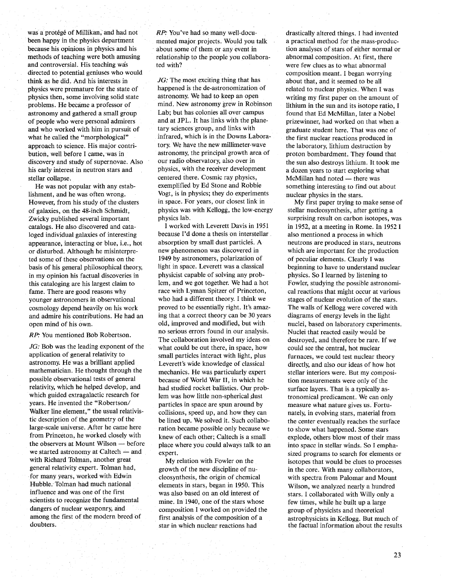was a protégé of Millikan, and had not been happy in the physics department because his opinions in physics and his methods of teaching were both amusing and controversial. His teaching was directed to potential geniuses who would think as he did. And his interests in physics were premature for the state of physics then, some involving solid state problems. He became a professor of astronomy and gathered a small group of people who were personal admirers and who worked with him in pursuit of what he called the "morphological" approach to science. His major contribution, well before I came, was in discovery and study of supernovae. Also his early interest in neutron stars and stellar collapse.

He was not popular with any establishment, and he was often wrong. However, from his study of the clusters of galaxies, on the 48-inch Schmidt, Zwicky published several important catalogs. He also discovered and cataloged individual galaxies of interesting appearance, interacting or blue, i.e., hot or disturbed. Although he misinterpreted some of these observations on the basis of his general philosophical theory, in my opinion his factual discoveries in this cataloging are his largest claim to fame. There are good reasons why younger astronomers in observational cosmology depend heavily on his work and admire his contributions. He had an open mind of his own.

RP: You mentioned Bob Robertson.

JG: Bob was the leading exponent of the application of general relativity to astronomy. He was a brilliant applied mathematician. He thought through the possible observational tests of general relativity, which he helped develop, and which guided extragalactic research for years. He invented the "Robertson/ Walker line element," the usual relativistic description of the geometry of the large-scale universe. After he came here from Princeton, he worked closely with the observers at Mount Wilson  $-$  before we started astronomy at Caltech - and with Richard Tolman, another great general relativity expert. Tolman had, for many years, worked with Edwin Hubble. Tolman had much national influence and was one of the first scientists to recognize the fundamental dangers of nuclear weaponry, and among the first of the modern breed of doubters.

RP: You've had so many well-documented major projects. Would you talk . about some of them or any event in relationship to the people you collaborated with?

JG: The most exciting thing that has happened is the de-astronomization of astronomy. We had to keep an open mind. New astronomy grew in Robinson Lab; but has colonies all over campus and at JPL. It has links with the planetary sciences group, and links with infrared, which is in the Downs Laboratory. We have the new millimeter-wave astronomy, the principal growth area of our radio observatory, also over in physics, with the receiver development centered there. Cosmic ray physics, exemplified by Ed Stone and Robbie Vogt, is in physics; they do experiments in space. For years, our closest link in physics was with Kellogg, the low-energy physics lab.

I worked with Leverett Davis in 1951 because I'd done a thesis on interstellar absorption by small dust particles. A new phenomenon was discovered in 1949 by astronomers, polarization of light in space. Leverett was a classical physicist capable of solving any problem, and we got together. We had a hot race with Lyman Spitzer of Princeton, who had a different theory. I think we proved to be essentially right. It's amazing that a correct theory can be 30 years old, improved and modified, but with no serious errors found in our analysis. The collaboration involved my ideas on what could be out there, in space, how small particles interact with light, plus Leverett's wide knowledge of classical mechanics. He was particularly expert because of World War II, in which he had studied rocket ballistics. Our problem was how little non-spherical dust particles in space are spun around by collisions, speed up, and how they can be lined up. We solved it. Such collaboration became possible only because we knew of each other; Caltech is a small place where you could always talk to an expert.

My relation with Fowler on the growth of the new discipline of nucleosynthesis, the origin of chemical elements in stars, began in 1950. This was also based on an old interest of mine. In 1940, one of the stars whose composition I worked on provided the first analysis of the composition of a star in which nuclear reactions had

drastically altered things. I had invented a practical method for the mass-production analyses of stars of either normal or abnormal composition. At first, there were few clues as to what abnormal composition meant. I began worrying about that, and it seemed to be all related to nuclear physics. When I was writing my first paper on the amount of lithium in the sun and its isotope ratio, I found that Ed McMillan, later a Nobel prizewinner, had worked on that when a graduate student here. That was one of the first nuclear reactions produced in the laboratory, lithium destruction by proton bombardment. They found that the sun also destroys lithium. It took me a dozen years to start exploring what McMillan had noted - there was something interesting to find out about nuclear physics in the stars.

My first paper trying to make sense of stellar nucleosynthesis, after getting a surprising result on carbon isotopes, was in 1952, at a meeting in Rome. In 1952 I also mentioned a process in which neutrons are produced in stars, neutrons which are important for the production of peculiar elements. Clearly I was beginning to have to understand nuclear physics. So I learned by listening to Fowler, studying the possible astronomical reactions that might occur at various stages of nuclear evolution of the stars. The walls of Kellogg were covered with diagrams of energy levels in the light nuclei, based on laboratory experiments. Nuclei that reacted easily would be destroyed, and therefore be rare. If we could see the central, hot nuclear furnaces, we could test nuclear theory directly, and also our ideas of how hot stellar interiors were. But my composition measurements were only of the surface layers. That is a typically astronomical predicament. We can only measure what nature gives us. Fortunately, in evolving stars, material from the center eventually reaches the surface to show what happened. Some stars explode, others blow most of their mass into space in stellar winds. So I emphasized programs to search for elements or isotopes that would be clues to processes in the core. With many collaborators, with spectra from Palomar and Mount Wilson, we analyzed nearly a hundred stars. I collaborated with Willy only a few times, while he built up a large group of physicists and theoretical astrophysicists in Kellogg. But much of the factual information about the results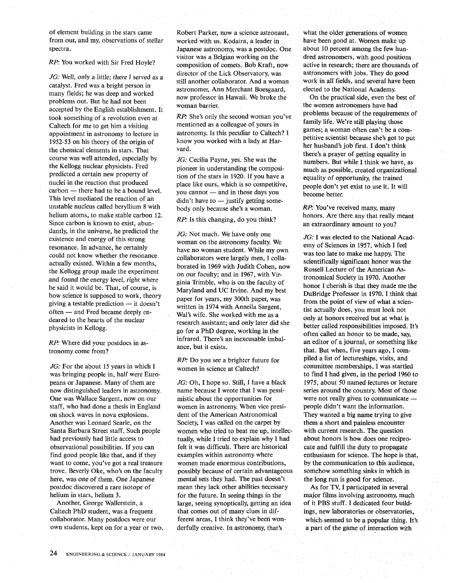of element building in the stars came from our, and my, observations of stellar spectra.

## RP: You worked with Sir Fred Hoyle?

JG: Well, only a little; there I served as a catalyst. Fred was a bright person in many fields; he was deep and worked problems out. But he had not been accepted by the English establishment. It took something of a revolution even at Caltech for me to get him a visiting appointment in astronomy to lecture in 1952-53 on his theory of the origin of the chemical elements in stars. That course was well attended, especially by the Kellogg nuclear physicists. Fred predicted a certain new property of nuclei in the reaction that produced  $carbon$  - there had to be a bound level. This level mediated the reaction of an unstable nucleus called beryllium 8 with helium atoms, to make stable carbon 12. Since carbon is known to exist, abundantly, in the universe, he predicted the existence and energy of this strong resonance. In advance, he certainly could not know whether the resonance actually existed. Within a few months, the Kellogg group made the experiment and found the energy level, right where he said it would be. That, of course, is how science is supposed to work, theory giving a testable prediction  $-$  it doesn't often - and Fred became deeply endeared to the hearts of the nuclear physicists in Kellogg.

RP: Where did your postdocs in astronomy come from?

JG: For the about 15 years in which I was bringing people in, half were Europeans or Japanese. Many of them are now distinguished leaders in astronomy. One was Wallace Sargent, now on our staff, who had done a thesis in England on shock waves in nova explosions. Another was Leonard Searle, on the Santa Barbara Street staff. Such people had previously had little access to observational possibilities. If you can find good people like that, and if they want to come, you've got a real treasure trove. Beverly Oke, who's on the faculty here, *was* one of them. One Japanese postdoc discovered a rare isotope of helium in stars, helium 3.

Another, George Wallerstein, a Caltech PhD student, was a frequent collaborator. Many postdocs were our own students, kept on for a year or two. Robert Parker, now a science astronaut, worked with us. Kodaira, a leader in Japanese astronomy, was a postdoc. One visitor was a Belgian working on the composition of comets. Bob Kraft, now director of the Lick Observatory, was still another collaborator. And a woman astronomer, Ann Merchant Boesgaard, now professor in Hawaii. We broke the woman barrier.

RP: She's only the second woman you've mentioned as a colleague of yours in astronomy. Is this peculiar to Caltech? I know you worked with a lady at Harvard.

JG: Cecilia Payne, yes. She was the pioneer in understanding the composition of the stars in 1920. If you have a place like ours, which is so competitive, you cannot — and in those days you  $d$ idn't have to  $-$  justify getting somebody only because she's a woman.

RP: Is this changing, do you think?

JG: Not much. We have only one woman on the astronomy faculty. We have no woman student. While my own collaborators were largely men, I collaborated in 1969 with Judith Cohen, now on our faculty; and in 1967, with Virginia Trimble, who is on the faculty of Maryland and UC Irvine. And my best paper for years, my 300th paper, was written in 1974 with Anneila Sargent, Wal's wife. She worked with me as a research assistant; and only later did she go for a PhD degree, working in the infrared. There's an inexcusable imbalance, but it exists.

RP: Do you see a brighter future for women in science at Caltech?

JG: Oh, I hope so. Still, I have a black name because I wrote that I was pessimistic about the opportunities for women in astronomy. When vice president of the American Astronomical Society, I was called on the carpet by women who tried to beat me up, intellectually, while I tried to explain why I had felt it was difficult. There are historical examples within astronomy where women made enormous contributions, possibly because of certain advantageous mental sets they had. The past doesn't mean they lack other abilities necessary for the future. In seeing things in the large, seeing synoptically, getting an idea that comes out of many clues in different areas, I think they've been wonderfully creative. In astronomy, that's

what the older generations of women have been good at. Women make up about 10 percent among the few hundred astronomers, with good positions active in research; there are thousands of astronomers with jobs. They do good work in all fields, and several have been elected to the National Academy.

On the practical side, even the best of the women astronomers have hadproblems because of the requirements of family life. We're still playing those games; a woman often can't be a competitive scientist because she's got to put her husband's job first. I don't think there's a prayer of getting equality in numbers. But while I think we have, as much as possible, created organizational equality of opportunity, the trained people don't yet exist to use it. It will become better.

RP: You've received many, many honors. Are there any that really meant an extraordinary amount to you?

JG: I was elected to the National Academy of Sciences in 1957, which I feel was too late to make me happy. The scientifically significant honor was the Russell Lecture of the American Astronomical Society in 1970. Another honor I cherish is that they made me the DuBridge Professor in 1970. I think that from the point of view of what a scientist actually does, you must look not only at honors received but at what is better called responsibilities imposed. It's often called an honor to be made, say, an editor of a journal, or something like that. But when, five years ago, I compiled a list of lectureships, visits, and committee memberships, I was startled to find I had given, in the period 1960 to 1975, about 50 named lectures or lecture series around the country. Most of those were not really given to communicate people didn't want the information. They wanted a big name trying to give them a short and painless encounter with current research. The question about honors is how does one reciprocate and fulfill the duty to propagate enthusiasm for science. The hope is that, by the communication to this audience, somehow something sinks in which in the long run is good for science.

As for TV, I participated in several major films involving astronomy, much of it PBS stuff. I dedicated four buildings, new laboratories or observatories, which. seemed to be a popular thing. It's a part of the game of interaction with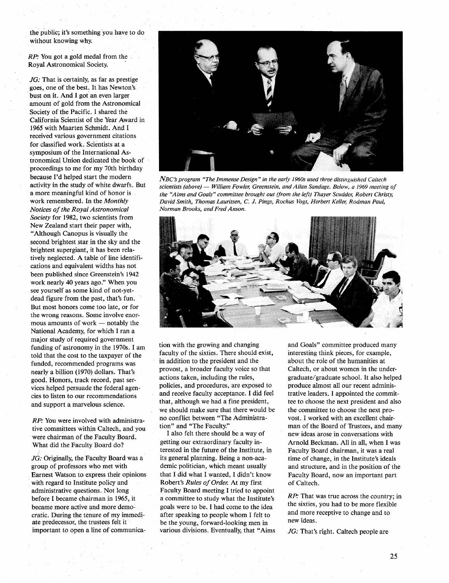the public; it's something you have to do without knowing why.

RP: You got a gold medal from the Royal Astronomical Society. '

JG: That is certainly, as far as prestige goes, one of the best. It has Newton's bust on it. And I got an even larger amount of gold from the Astronomical Society of the Pacific. I shared the California Scientist of the Year Award in 1965 with Maarten Schmidt. And I received various government citations for classified work. Scientists at a symposium of the International Astronomical Union dedicated the book of proceedings to me for my 70th birthday because I'd helped start the modern activity in the study of white dwarfs. But a more meaningful kind of honor is work remembered. In the *Monthly Notices oj the Royal Astronomical Society* for 1982, two scientists from New Zealand start their paper with, "Although Canopus is visually the second brightest star in the sky and the brightest supergiant, it has been relatively neglected. A table of line identifications and equivalent widths has not been published since Greenstein's 1942 work nearly 40 years ago." When you see yourself as some kind of not-yetdead figure from the past, that's fun. But most honors come too late, or for the wrong reasons. Some involve enormous amounts of work  $-$  notably the National Academy, for which I ran a major study of required government funding of astronomy in the 1970s. I am told that the cost to the taxpayer of the funded, recommended programs was nearly a billion (1970) dollars. That's good. Honors, track record, past services helped persuade the federal agencies to listen to our recommendatioris and support a marvelous science.

RP: You were involved with administrative committees within Caltech, and you were chairman of the Faculty Board. What did the Faculty Board do?

JG: Originally, the Faculty Board was a group of professors who met with Earnest Watson to express their opinions with regard to Institute policy and administrative questions. Not long before I became chairman in 1965, it became more active and more democratic. During the tenure of my immediate predecessor, the trustees felt it important to open a line of communica-



*NBC's program "The Immense Design" in the early 1960s used three distinguished Caltech scientists (above) — William Fowler, Greenstein, and Allan Sandage. Below, a 1969 meeting of the "Aims and Goals" committee brought out (from the left) Thayer Scudder, Robert Christy, David Smith, Thomas Lauritsen,* C. J. *Pings, Rochus Vogt, Herbert Keller, Rodman Paul, Norman Brooks, and Fred Anson.* 



tion with the growing and changing faculty of the sixties. There should exist, in addition to the president and the provost, a broader faculty voice so that actions taken, including the rules, policies, and procedures, are exposed to and receive faculty acceptance. I did feel that, although we had a fine president, we should make sure that there would be no conflict between "The Administration" and "The Faculty."

I also felt there should be a way of getting our extraordinary faculty interested in the future of the Institute, in its general planning. Being a non-academic politician, which meant usually that I did what I wanted, I didn't know Robert's *Rules oj Order.* At my first Faculty Board meeting I tried to appoint a committee to study what the Institute's goals were to be. I had come to the idea after speaking to people whom I felt to be the young, forward-looking men in various divisions. Eventually, that "Aims and Goals" committee produced many interesting think pieces, for example, about the role of the humanities at Caltech, or about women in the undergraduate/ graduate school. It also helped produce almost all our recent administrative leaders. I appointed the committee to choose the next president and also the committee to choose the next provost. I worked with an excellent chairman of the Board of Trustees, and many new ideas arose in conversations with Arnold Beckman. All in all, when I was Faculty Board chairman, it was a real time of change, in the Institute's ideals and structure, and in the position of the Faculty Board, now an important part of Caltech.

RP: That was true across the country; in the sixties, you had to be more flexible and more receptive to change and to new ideas.

JG: That's right. Caltech people are